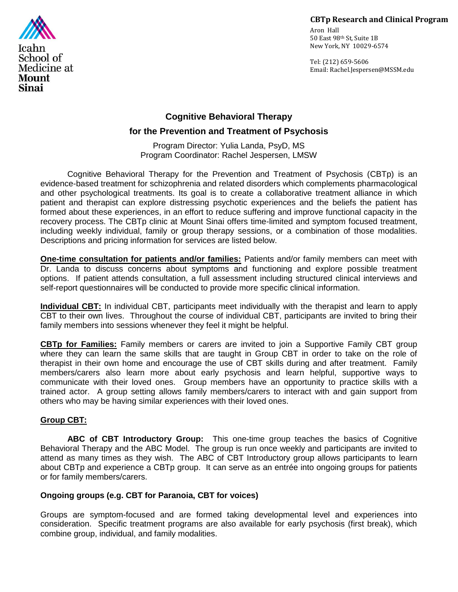### **CBTp Research and Clinical Program**

Aron Hall 50 East 98th St, Suite 1B New York, NY 10029-6574

Tel: (212) 659-5606 Email: Rachel.Jespersen@MSSM.edu



# **Cognitive Behavioral Therapy**

# **for the Prevention and Treatment of Psychosis**

Program Director: Yulia Landa, PsyD, MS Program Coordinator: Rachel Jespersen, LMSW

Cognitive Behavioral Therapy for the Prevention and Treatment of Psychosis (CBTp) is an evidence-based treatment for schizophrenia and related disorders which complements pharmacological and other psychological treatments. Its goal is to create a collaborative treatment alliance in which patient and therapist can explore distressing psychotic experiences and the beliefs the patient has formed about these experiences, in an effort to reduce suffering and improve functional capacity in the recovery process. The CBTp clinic at Mount Sinai offers time-limited and symptom focused treatment, including weekly individual, family or group therapy sessions, or a combination of those modalities. Descriptions and pricing information for services are listed below.

**One-time consultation for patients and/or families:** Patients and/or family members can meet with Dr. Landa to discuss concerns about symptoms and functioning and explore possible treatment options. If patient attends consultation, a full assessment including structured clinical interviews and self-report questionnaires will be conducted to provide more specific clinical information.

**Individual CBT:** In individual CBT, participants meet individually with the therapist and learn to apply CBT to their own lives. Throughout the course of individual CBT, participants are invited to bring their family members into sessions whenever they feel it might be helpful.

**CBTp for Families:** Family members or carers are invited to join a Supportive Family CBT group where they can learn the same skills that are taught in Group CBT in order to take on the role of therapist in their own home and encourage the use of CBT skills during and after treatment. Family members/carers also learn more about early psychosis and learn helpful, supportive ways to communicate with their loved ones. Group members have an opportunity to practice skills with a trained actor. A group setting allows family members/carers to interact with and gain support from others who may be having similar experiences with their loved ones.

# **Group CBT:**

**ABC of CBT Introductory Group:** This one-time group teaches the basics of Cognitive Behavioral Therapy and the ABC Model. The group is run once weekly and participants are invited to attend as many times as they wish. The ABC of CBT Introductory group allows participants to learn about CBTp and experience a CBTp group. It can serve as an entrée into ongoing groups for patients or for family members/carers.

### **Ongoing groups (e.g. CBT for Paranoia, CBT for voices)**

Groups are symptom-focused and are formed taking developmental level and experiences into consideration. Specific treatment programs are also available for early psychosis (first break), which combine group, individual, and family modalities.